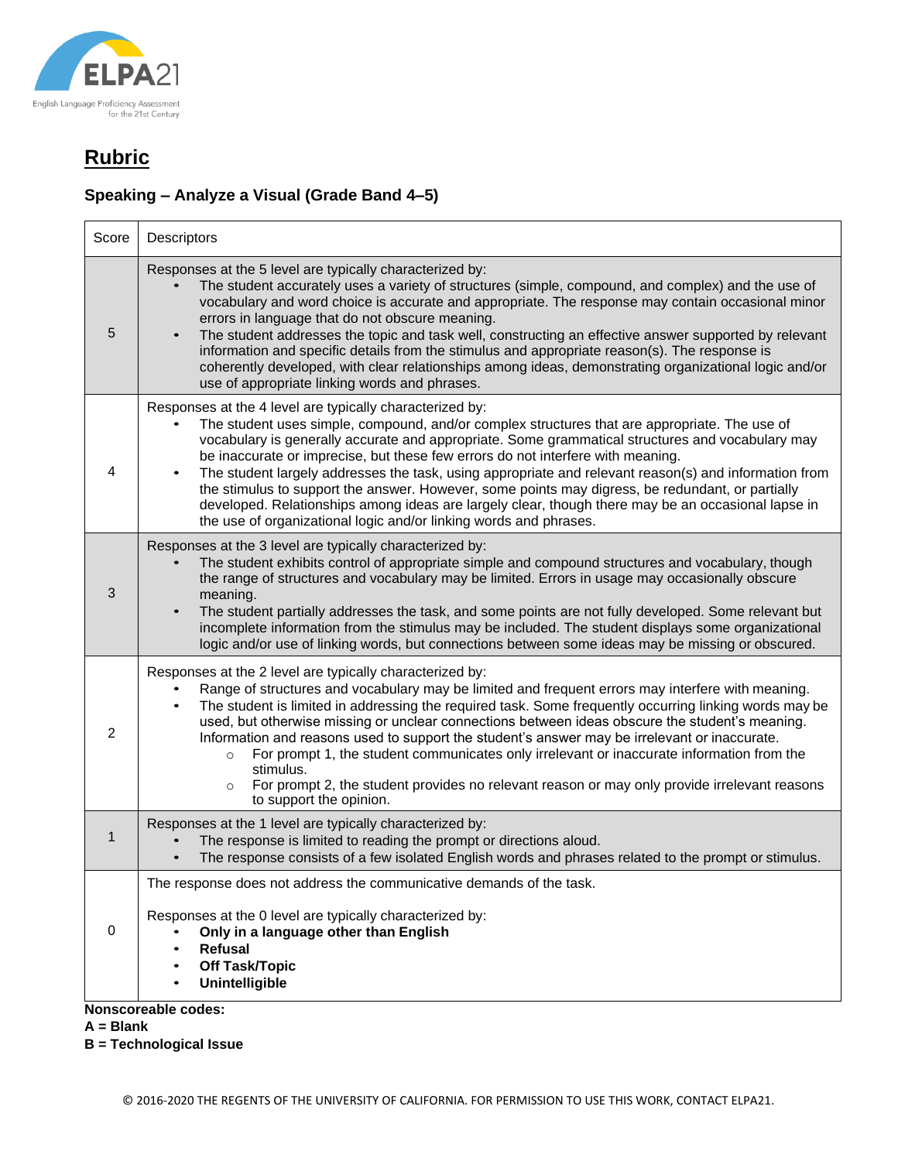

### **Speaking – Analyze a Visual (Grade Band 4–5)**

| Score       | Descriptors                                                                                                                                                                                                                                                                                                                                                                                                                                                                                                                                                                                                                                                                                                                              |
|-------------|------------------------------------------------------------------------------------------------------------------------------------------------------------------------------------------------------------------------------------------------------------------------------------------------------------------------------------------------------------------------------------------------------------------------------------------------------------------------------------------------------------------------------------------------------------------------------------------------------------------------------------------------------------------------------------------------------------------------------------------|
| 5           | Responses at the 5 level are typically characterized by:<br>The student accurately uses a variety of structures (simple, compound, and complex) and the use of<br>vocabulary and word choice is accurate and appropriate. The response may contain occasional minor<br>errors in language that do not obscure meaning.<br>The student addresses the topic and task well, constructing an effective answer supported by relevant<br>information and specific details from the stimulus and appropriate reason(s). The response is<br>coherently developed, with clear relationships among ideas, demonstrating organizational logic and/or<br>use of appropriate linking words and phrases.                                               |
| 4           | Responses at the 4 level are typically characterized by:<br>The student uses simple, compound, and/or complex structures that are appropriate. The use of<br>vocabulary is generally accurate and appropriate. Some grammatical structures and vocabulary may<br>be inaccurate or imprecise, but these few errors do not interfere with meaning.<br>The student largely addresses the task, using appropriate and relevant reason(s) and information from<br>the stimulus to support the answer. However, some points may digress, be redundant, or partially<br>developed. Relationships among ideas are largely clear, though there may be an occasional lapse in<br>the use of organizational logic and/or linking words and phrases. |
| 3           | Responses at the 3 level are typically characterized by:<br>The student exhibits control of appropriate simple and compound structures and vocabulary, though<br>the range of structures and vocabulary may be limited. Errors in usage may occasionally obscure<br>meaning.<br>The student partially addresses the task, and some points are not fully developed. Some relevant but<br>incomplete information from the stimulus may be included. The student displays some organizational<br>logic and/or use of linking words, but connections between some ideas may be missing or obscured.                                                                                                                                          |
| 2           | Responses at the 2 level are typically characterized by:<br>Range of structures and vocabulary may be limited and frequent errors may interfere with meaning.<br>The student is limited in addressing the required task. Some frequently occurring linking words may be<br>used, but otherwise missing or unclear connections between ideas obscure the student's meaning.<br>Information and reasons used to support the student's answer may be irrelevant or inaccurate.<br>For prompt 1, the student communicates only irrelevant or inaccurate information from the<br>$\circ$<br>stimulus.<br>For prompt 2, the student provides no relevant reason or may only provide irrelevant reasons<br>$\circ$<br>to support the opinion.   |
| $\mathbf 1$ | Responses at the 1 level are typically characterized by:<br>The response is limited to reading the prompt or directions aloud.<br>The response consists of a few isolated English words and phrases related to the prompt or stimulus.                                                                                                                                                                                                                                                                                                                                                                                                                                                                                                   |
| $\mathbf 0$ | The response does not address the communicative demands of the task.<br>Responses at the 0 level are typically characterized by:<br>Only in a language other than English<br><b>Refusal</b><br><b>Off Task/Topic</b><br>Unintelligible                                                                                                                                                                                                                                                                                                                                                                                                                                                                                                   |
|             | Nonscoreable codes:                                                                                                                                                                                                                                                                                                                                                                                                                                                                                                                                                                                                                                                                                                                      |

**A = Blank**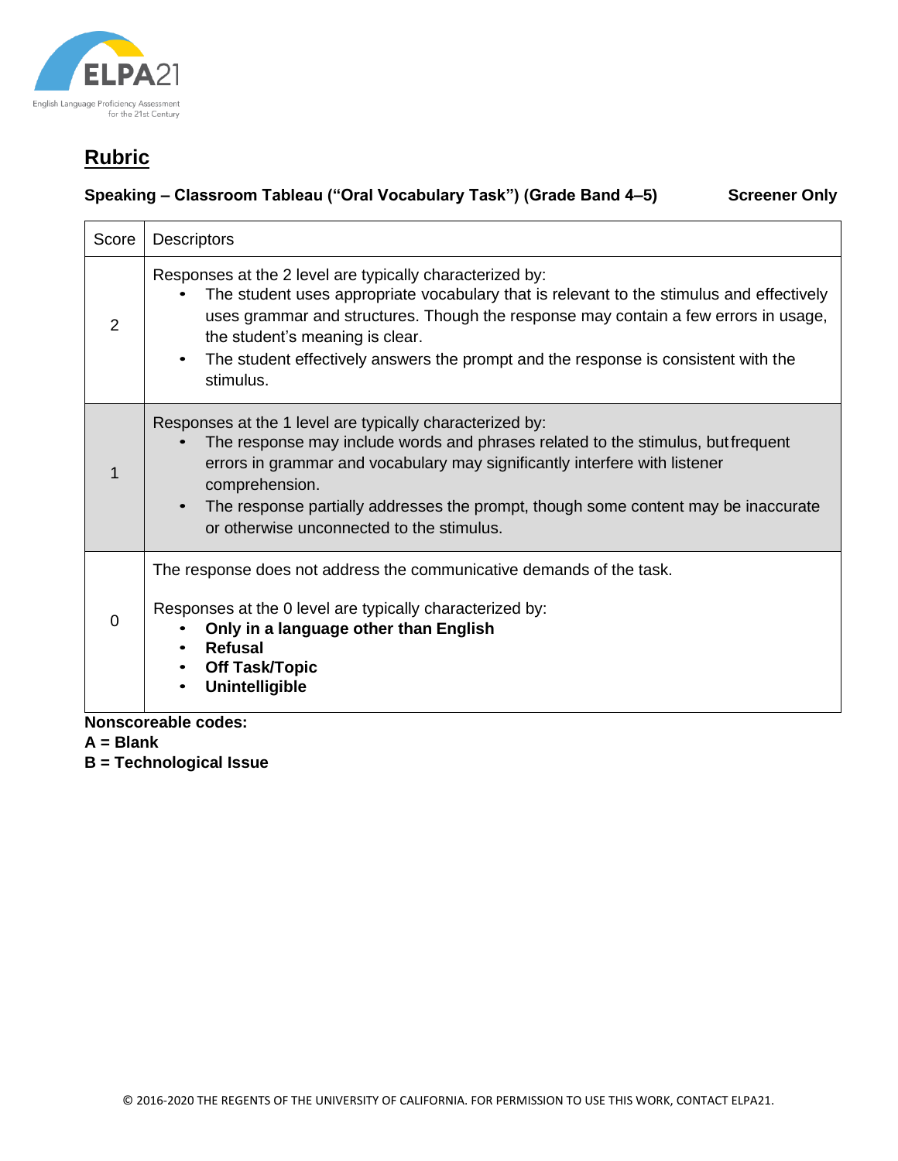

#### **Speaking – Classroom Tableau ("Oral Vocabulary Task") (Grade Band 4–5) Screener Only**

Score | Descriptors 2 Responses at the 2 level are typically characterized by: The student uses appropriate vocabulary that is relevant to the stimulus and effectively uses grammar and structures. Though the response may contain a few errors in usage, the student's meaning is clear. • The student effectively answers the prompt and the response is consistent with the stimulus. 1 Responses at the 1 level are typically characterized by: • The response may include words and phrases related to the stimulus, butfrequent errors in grammar and vocabulary may significantly interfere with listener comprehension. • The response partially addresses the prompt, though some content may be inaccurate or otherwise unconnected to the stimulus.  $\Omega$ The response does not address the communicative demands of the task. Responses at the 0 level are typically characterized by: • **Only in a language other than English** • **Refusal** • **Off Task/Topic** • **Unintelligible**

**Nonscoreable codes:**

**A = Blank**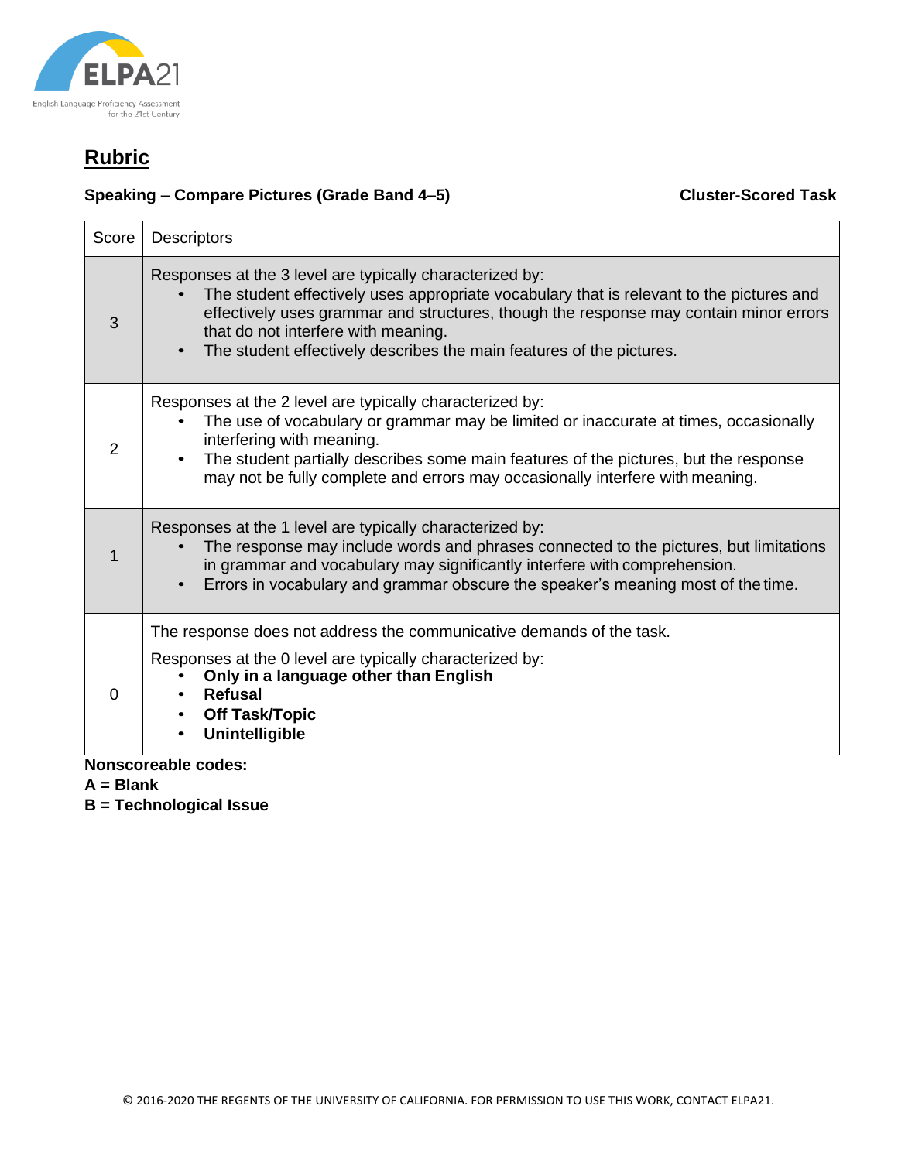

### **Speaking – Compare Pictures (Grade Band 4–5) Cluster-Scored Task**

| Score    | <b>Descriptors</b>                                                                                                                                                                                                                                                                                                                                           |
|----------|--------------------------------------------------------------------------------------------------------------------------------------------------------------------------------------------------------------------------------------------------------------------------------------------------------------------------------------------------------------|
| 3        | Responses at the 3 level are typically characterized by:<br>The student effectively uses appropriate vocabulary that is relevant to the pictures and<br>effectively uses grammar and structures, though the response may contain minor errors<br>that do not interfere with meaning.<br>The student effectively describes the main features of the pictures. |
| 2        | Responses at the 2 level are typically characterized by:<br>The use of vocabulary or grammar may be limited or inaccurate at times, occasionally<br>interfering with meaning.<br>The student partially describes some main features of the pictures, but the response<br>may not be fully complete and errors may occasionally interfere with meaning.       |
|          | Responses at the 1 level are typically characterized by:<br>The response may include words and phrases connected to the pictures, but limitations<br>in grammar and vocabulary may significantly interfere with comprehension.<br>Errors in vocabulary and grammar obscure the speaker's meaning most of the time.                                           |
| $\Omega$ | The response does not address the communicative demands of the task.<br>Responses at the 0 level are typically characterized by:<br>Only in a language other than English<br><b>Refusal</b><br><b>Off Task/Topic</b><br><b>Unintelligible</b>                                                                                                                |

**Nonscoreable codes:**

**A = Blank**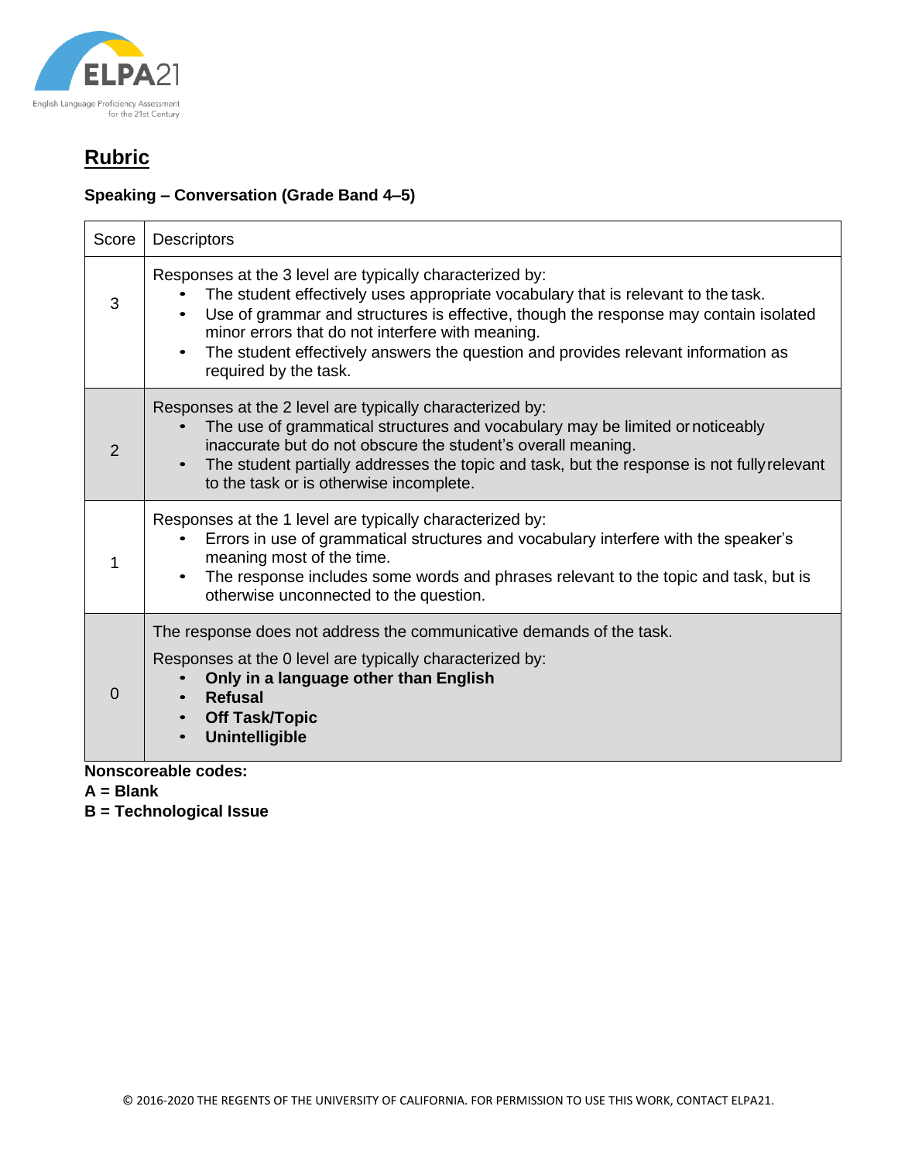

### **Speaking – Conversation (Grade Band 4–5)**

| Score          | <b>Descriptors</b>                                                                                                                                                                                                                                                                                                                                                                                                   |  |  |
|----------------|----------------------------------------------------------------------------------------------------------------------------------------------------------------------------------------------------------------------------------------------------------------------------------------------------------------------------------------------------------------------------------------------------------------------|--|--|
| 3              | Responses at the 3 level are typically characterized by:<br>The student effectively uses appropriate vocabulary that is relevant to the task.<br>Use of grammar and structures is effective, though the response may contain isolated<br>minor errors that do not interfere with meaning.<br>The student effectively answers the question and provides relevant information as<br>$\bullet$<br>required by the task. |  |  |
| $\overline{2}$ | Responses at the 2 level are typically characterized by:<br>The use of grammatical structures and vocabulary may be limited or noticeably<br>inaccurate but do not obscure the student's overall meaning.<br>The student partially addresses the topic and task, but the response is not fully relevant<br>$\bullet$<br>to the task or is otherwise incomplete.                                                      |  |  |
| 1              | Responses at the 1 level are typically characterized by:<br>Errors in use of grammatical structures and vocabulary interfere with the speaker's<br>meaning most of the time.<br>The response includes some words and phrases relevant to the topic and task, but is<br>$\bullet$<br>otherwise unconnected to the question.                                                                                           |  |  |
| $\Omega$       | The response does not address the communicative demands of the task.<br>Responses at the 0 level are typically characterized by:<br>Only in a language other than English<br><b>Refusal</b><br><b>Off Task/Topic</b><br><b>Unintelligible</b>                                                                                                                                                                        |  |  |
|                | <b>Nonscoreable codes:</b>                                                                                                                                                                                                                                                                                                                                                                                           |  |  |

**A = Blank**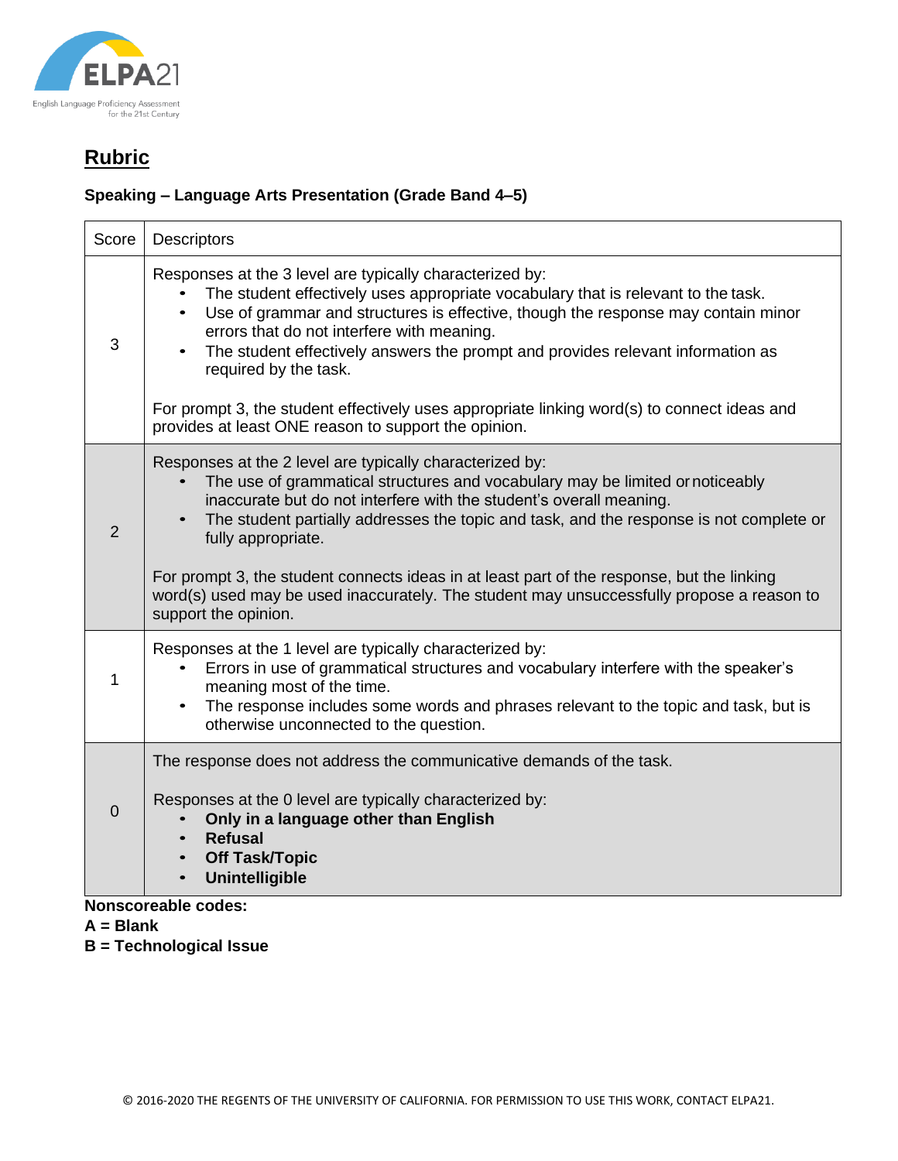

### **Speaking – Language Arts Presentation (Grade Band 4–5)**

| Score          | <b>Descriptors</b>                                                                                                                                                                                                                                                                                                                                                                                                                                                                                       |
|----------------|----------------------------------------------------------------------------------------------------------------------------------------------------------------------------------------------------------------------------------------------------------------------------------------------------------------------------------------------------------------------------------------------------------------------------------------------------------------------------------------------------------|
| 3              | Responses at the 3 level are typically characterized by:<br>The student effectively uses appropriate vocabulary that is relevant to the task.<br>Use of grammar and structures is effective, though the response may contain minor<br>$\bullet$<br>errors that do not interfere with meaning.<br>The student effectively answers the prompt and provides relevant information as<br>required by the task.<br>For prompt 3, the student effectively uses appropriate linking word(s) to connect ideas and |
|                | provides at least ONE reason to support the opinion.                                                                                                                                                                                                                                                                                                                                                                                                                                                     |
| $\overline{2}$ | Responses at the 2 level are typically characterized by:<br>The use of grammatical structures and vocabulary may be limited or noticeably<br>inaccurate but do not interfere with the student's overall meaning.<br>The student partially addresses the topic and task, and the response is not complete or<br>fully appropriate.                                                                                                                                                                        |
|                | For prompt 3, the student connects ideas in at least part of the response, but the linking<br>word(s) used may be used inaccurately. The student may unsuccessfully propose a reason to<br>support the opinion.                                                                                                                                                                                                                                                                                          |
| 1              | Responses at the 1 level are typically characterized by:<br>Errors in use of grammatical structures and vocabulary interfere with the speaker's<br>meaning most of the time.<br>The response includes some words and phrases relevant to the topic and task, but is<br>otherwise unconnected to the question.                                                                                                                                                                                            |
| $\Omega$       | The response does not address the communicative demands of the task.                                                                                                                                                                                                                                                                                                                                                                                                                                     |
|                | Responses at the 0 level are typically characterized by:<br>Only in a language other than English<br><b>Refusal</b><br><b>Off Task/Topic</b><br><b>Unintelligible</b>                                                                                                                                                                                                                                                                                                                                    |

#### **Nonscoreable codes:**

- **A = Blank**
- **B = Technological Issue**